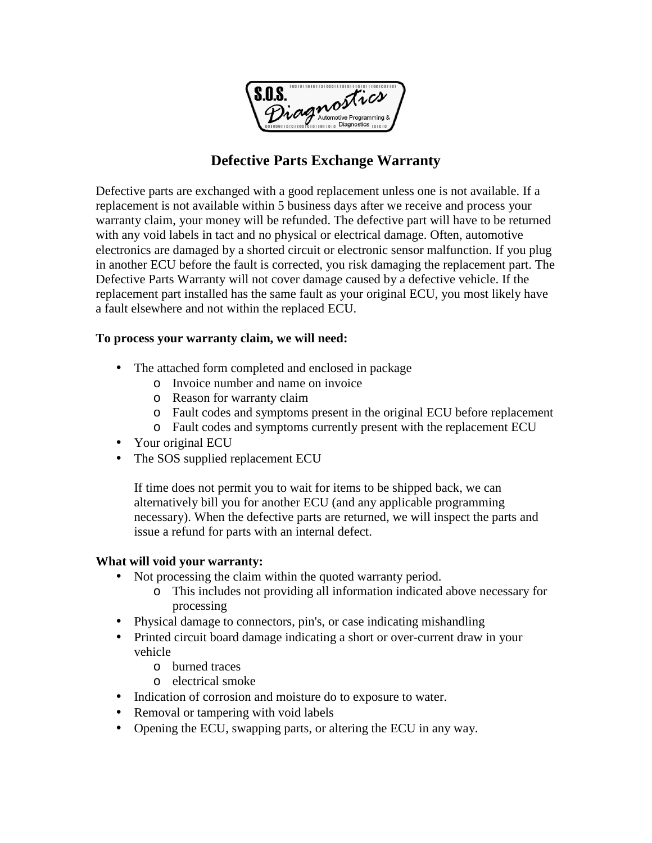

## **Defective Parts Exchange Warranty**

Defective parts are exchanged with a good replacement unless one is not available. If a replacement is not available within 5 business days after we receive and process your warranty claim, your money will be refunded. The defective part will have to be returned with any void labels in tact and no physical or electrical damage. Often, automotive electronics are damaged by a shorted circuit or electronic sensor malfunction. If you plug in another ECU before the fault is corrected, you risk damaging the replacement part. The Defective Parts Warranty will not cover damage caused by a defective vehicle. If the replacement part installed has the same fault as your original ECU, you most likely have a fault elsewhere and not within the replaced ECU.

## **To process your warranty claim, we will need:**

- The attached form completed and enclosed in package
	- o Invoice number and name on invoice
	- o Reason for warranty claim
	- o Fault codes and symptoms present in the original ECU before replacement
	- o Fault codes and symptoms currently present with the replacement ECU
- Your original ECU
- The SOS supplied replacement ECU

 If time does not permit you to wait for items to be shipped back, we can alternatively bill you for another ECU (and any applicable programming necessary). When the defective parts are returned, we will inspect the parts and issue a refund for parts with an internal defect.

## **What will void your warranty:**

- Not processing the claim within the quoted warranty period.
	- o This includes not providing all information indicated above necessary for processing
- Physical damage to connectors, pin's, or case indicating mishandling
- Printed circuit board damage indicating a short or over-current draw in your vehicle
	- o burned traces
	- o electrical smoke
- Indication of corrosion and moisture do to exposure to water.
- Removal or tampering with void labels
- Opening the ECU, swapping parts, or altering the ECU in any way.